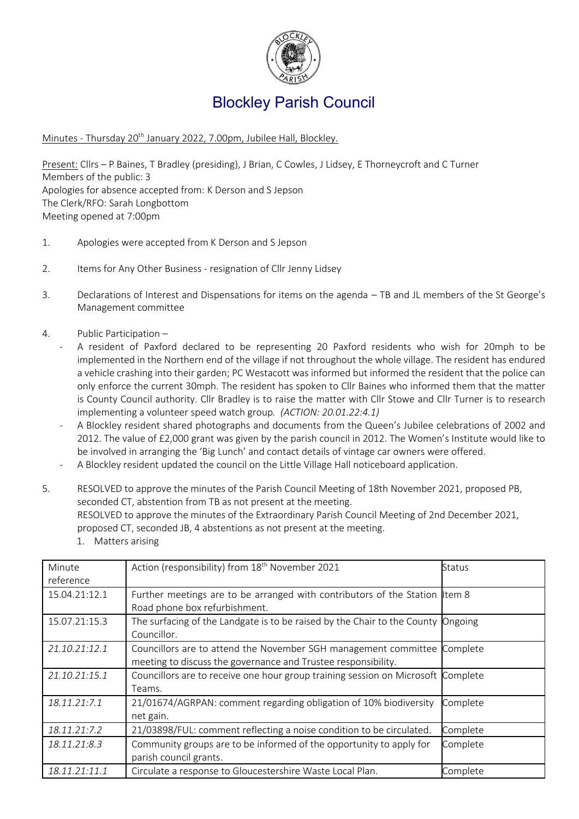

# Blockley Parish Council

Minutes - Thursday 20<sup>th</sup> January 2022, 7.00pm, Jubilee Hall, Blockley.

Present: Cllrs – P Baines, T Bradley (presiding), J Brian, C Cowles, J Lidsey, E Thorneycroft and C Turner Members of the public: 3 Apologies for absence accepted from: K Derson and S Jepson The Clerk/RFO: Sarah Longbottom Meeting opened at 7:00pm

- 1. Apologies were accepted from K Derson and S Jepson
- 2. Items for Any Other Business resignation of Cllr Jenny Lidsey
- 3. Declarations of Interest and Dispensations for items on the agenda TB and JL members of the St George's Management committee
- 4. Public Participation
	- A resident of Paxford declared to be representing 20 Paxford residents who wish for 20mph to be implemented in the Northern end of the village if not throughout the whole village. The resident has endured a vehicle crashing into their garden; PC Westacott was informed but informed the resident that the police can only enforce the current 30mph. The resident has spoken to Cllr Baines who informed them that the matter is County Council authority. Cllr Bradley is to raise the matter with Cllr Stowe and Cllr Turner is to research implementing a volunteer speed watch group*. (ACTION: 20.01.22:4.1)*
	- A Blockley resident shared photographs and documents from the Queen's Jubilee celebrations of 2002 and 2012. The value of £2,000 grant was given by the parish council in 2012. The Women's Institute would like to be involved in arranging the 'Big Lunch' and contact details of vintage car owners were offered.
	- A Blockley resident updated the council on the Little Village Hall noticeboard application.
- 5. RESOLVED to approve the minutes of the Parish Council Meeting of 18th November 2021, proposed PB, seconded CT, abstention from TB as not present at the meeting. RESOLVED to approve the minutes of the Extraordinary Parish Council Meeting of 2nd December 2021, proposed CT, seconded JB, 4 abstentions as not present at the meeting.

| Minute<br>reference | Action (responsibility) from 18 <sup>th</sup> November 2021                                                                      | Status   |
|---------------------|----------------------------------------------------------------------------------------------------------------------------------|----------|
| 15.04.21:12.1       | Further meetings are to be arranged with contributors of the Station Item 8<br>Road phone box refurbishment.                     |          |
| 15.07.21:15.3       | The surfacing of the Landgate is to be raised by the Chair to the County Ongoing<br>Councillor.                                  |          |
| 21.10.21:12.1       | Councillors are to attend the November SGH management committee<br>meeting to discuss the governance and Trustee responsibility. | Complete |
| 21.10.21:15.1       | Councillors are to receive one hour group training session on Microsoft Complete<br>Teams.                                       |          |
| 18.11.21:7.1        | 21/01674/AGRPAN: comment regarding obligation of 10% biodiversity<br>net gain.                                                   | Complete |
| 18.11.21:7.2        | 21/03898/FUL: comment reflecting a noise condition to be circulated.                                                             | Complete |
| 18.11.21:8.3        | Community groups are to be informed of the opportunity to apply for<br>parish council grants.                                    | Complete |
| 18.11.21:11.1       | Circulate a response to Gloucestershire Waste Local Plan.                                                                        | Complete |

1. Matters arising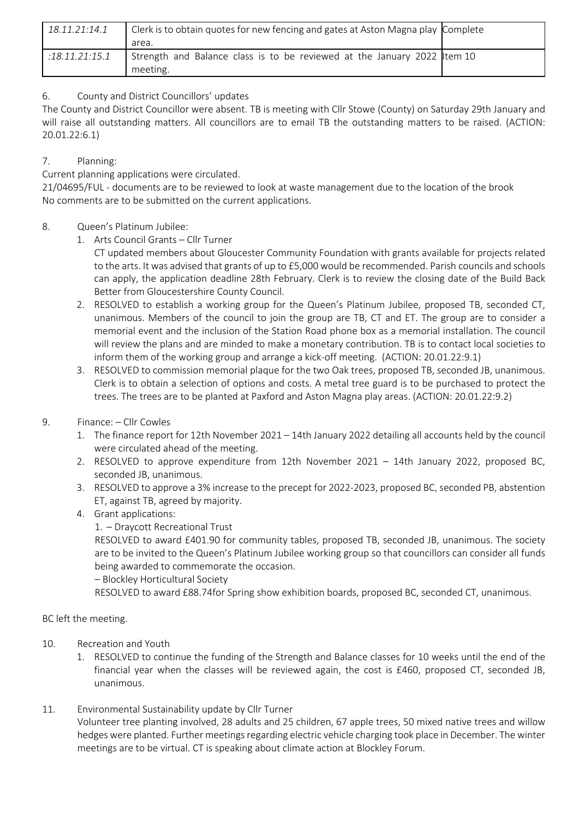| 18.11.21:14.1  | Clerk is to obtain quotes for new fencing and gates at Aston Magna play Complete     |  |
|----------------|--------------------------------------------------------------------------------------|--|
|                | area.                                                                                |  |
| :18.11.21:15.1 | Strength and Balance class is to be reviewed at the January 2022 Item 10<br>meeting. |  |

## 6. County and District Councillors' updates

The County and District Councillor were absent. TB is meeting with Cllr Stowe (County) on Saturday 29th January and will raise all outstanding matters. All councillors are to email TB the outstanding matters to be raised. (ACTION: 20.01.22:6.1)

### 7. Planning:

Current planning applications were circulated.

21/04695/FUL - documents are to be reviewed to look at waste management due to the location of the brook No comments are to be submitted on the current applications.

#### 8. Queen's Platinum Jubilee:

- 1. Arts Council Grants Cllr Turner
	- CT updated members about Gloucester Community Foundation with grants available for projects related to the arts. It was advised that grants of up to £5,000 would be recommended. Parish councils and schools can apply, the application deadline 28th February. Clerk is to review the closing date of the Build Back Better from Gloucestershire County Council.
- 2. RESOLVED to establish a working group for the Queen's Platinum Jubilee, proposed TB, seconded CT, unanimous. Members of the council to join the group are TB, CT and ET. The group are to consider a memorial event and the inclusion of the Station Road phone box as a memorial installation. The council will review the plans and are minded to make a monetary contribution. TB is to contact local societies to inform them of the working group and arrange a kick-off meeting. (ACTION: 20.01.22:9.1)
- 3. RESOLVED to commission memorial plaque for the two Oak trees, proposed TB, seconded JB, unanimous. Clerk is to obtain a selection of options and costs. A metal tree guard is to be purchased to protect the trees. The trees are to be planted at Paxford and Aston Magna play areas. (ACTION: 20.01.22:9.2)
- 9. Finance: Cllr Cowles
	- 1. The finance report for 12th November 2021 14th January 2022 detailing all accounts held by the council were circulated ahead of the meeting.
	- 2. RESOLVED to approve expenditure from 12th November 2021 14th January 2022, proposed BC, seconded JB, unanimous.
	- 3. RESOLVED to approve a 3% increase to the precept for 2022-2023, proposed BC, seconded PB, abstention ET, against TB, agreed by majority.
	- 4. Grant applications:
		- 1. Draycott Recreational Trust

RESOLVED to award £401.90 for community tables, proposed TB, seconded JB, unanimous. The society are to be invited to the Queen's Platinum Jubilee working group so that councillors can consider all funds being awarded to commemorate the occasion.

#### – Blockley Horticultural Society

RESOLVED to award £88.74for Spring show exhibition boards, proposed BC, seconded CT, unanimous.

BC left the meeting.

- 10. Recreation and Youth
	- 1. RESOLVED to continue the funding of the Strength and Balance classes for 10 weeks until the end of the financial year when the classes will be reviewed again, the cost is £460, proposed CT, seconded JB, unanimous.
- 11. Environmental Sustainability update by Cllr Turner

Volunteer tree planting involved, 28 adults and 25 children, 67 apple trees, 50 mixed native trees and willow hedges were planted. Further meetings regarding electric vehicle charging took place in December. The winter meetings are to be virtual. CT is speaking about climate action at Blockley Forum.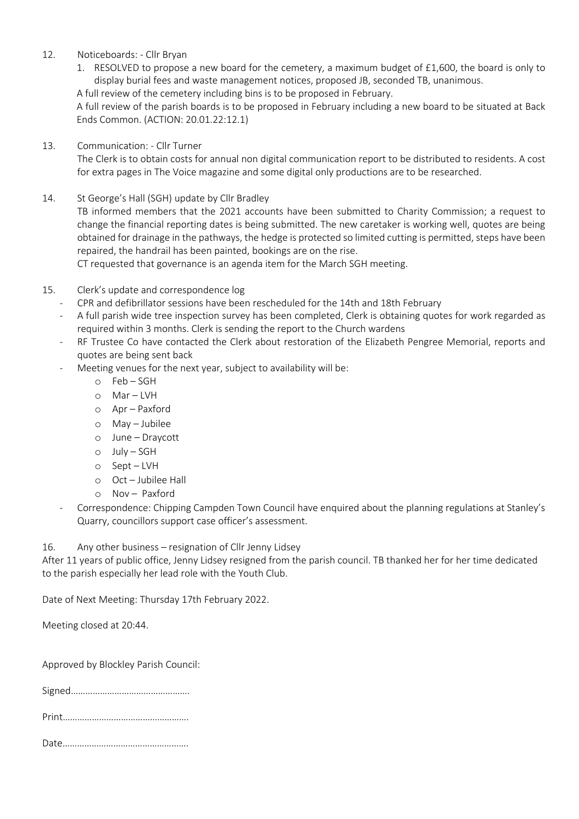#### 12. Noticeboards: - Cllr Bryan

1. RESOLVED to propose a new board for the cemetery, a maximum budget of £1,600, the board is only to display burial fees and waste management notices, proposed JB, seconded TB, unanimous.

A full review of the cemetery including bins is to be proposed in February.

A full review of the parish boards is to be proposed in February including a new board to be situated at Back Ends Common. (ACTION: 20.01.22:12.1)

13. Communication: - Cllr Turner

The Clerk is to obtain costs for annual non digital communication report to be distributed to residents. A cost for extra pages in The Voice magazine and some digital only productions are to be researched.

14. St George's Hall (SGH) update by Cllr Bradley

TB informed members that the 2021 accounts have been submitted to Charity Commission; a request to change the financial reporting dates is being submitted. The new caretaker is working well, quotes are being obtained for drainage in the pathways, the hedge is protected so limited cutting is permitted, steps have been repaired, the handrail has been painted, bookings are on the rise.

CT requested that governance is an agenda item for the March SGH meeting.

- 15. Clerk's update and correspondence log
	- CPR and defibrillator sessions have been rescheduled for the 14th and 18th February
	- A full parish wide tree inspection survey has been completed, Clerk is obtaining quotes for work regarded as required within 3 months. Clerk is sending the report to the Church wardens
	- RF Trustee Co have contacted the Clerk about restoration of the Elizabeth Pengree Memorial, reports and quotes are being sent back
	- Meeting venues for the next year, subject to availability will be:
		- o Feb SGH
		- o Mar LVH
		- o Apr Paxford
		- o May Jubilee
		- o June Draycott
		- o July SGH
		- o Sept LVH
		- o Oct Jubilee Hall
		- o Nov Paxford
	- Correspondence: Chipping Campden Town Council have enquired about the planning regulations at Stanley's Quarry, councillors support case officer's assessment.

16. Any other business – resignation of Cllr Jenny Lidsey

After 11 years of public office, Jenny Lidsey resigned from the parish council. TB thanked her for her time dedicated to the parish especially her lead role with the Youth Club.

Date of Next Meeting: Thursday 17th February 2022.

Meeting closed at 20:44.

Approved by Blockley Parish Council:

Signed………………………………………….

|--|

Date…………………………………………….